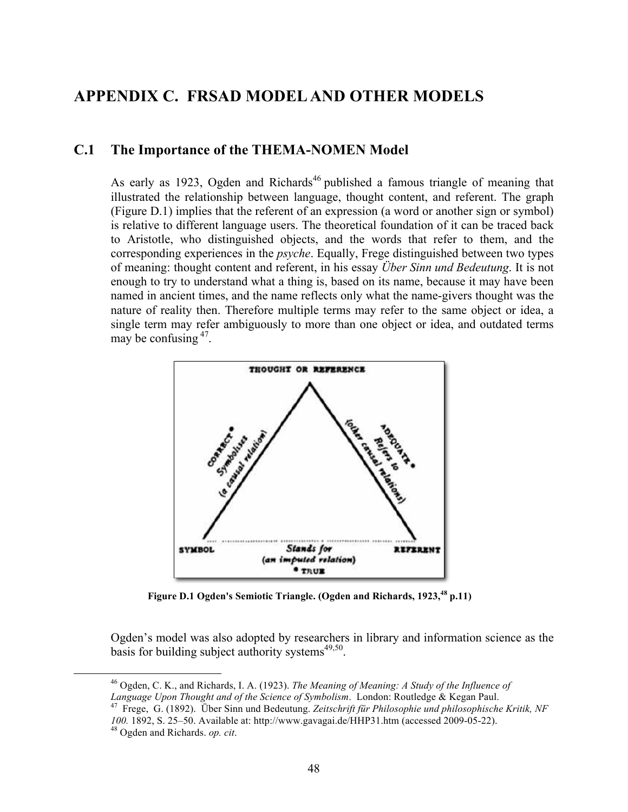## **APPENDIX C. FRSAD MODEL AND OTHER MODELS**

## **C.1 The Importance of the THEMA-NOMEN Model**

As early as 1923, Ogden and Richards<sup>46</sup> published a famous triangle of meaning that illustrated the relationship between language, thought content, and referent. The graph (Figure D.1) implies that the referent of an expression (a word or another sign or symbol) is relative to different language users. The theoretical foundation of it can be traced back to Aristotle, who distinguished objects, and the words that refer to them, and the corresponding experiences in the *psyche*. Equally, Frege distinguished between two types of meaning: thought content and referent, in his essay *Über Sinn und Bedeutung*. It is not enough to try to understand what a thing is, based on its name, because it may have been named in ancient times, and the name reflects only what the name-givers thought was the nature of reality then. Therefore multiple terms may refer to the same object or idea, a single term may refer ambiguously to more than one object or idea, and outdated terms may be confusing  $47$ .



**Figure D.1 Ogden's Semiotic Triangle. (Ogden and Richards, 1923,48 p.11)**

Ogden's model was also adopted by researchers in library and information science as the basis for building subject authority systems $49,50$ .

 46 Ogden, C. K., and Richards, I. A. (1923). *The Meaning of Meaning: A Study of the Influence of Language Upon Thought and of the Science of Symbolism*. London: Routledge & Kegan Paul. 47 Frege, G. (1892). Über Sinn und Bedeutung. *Zeitschrift für Philosophie und philosophische Kritik, NF* 

*100.* 1892, S. 25–50. Available at: http://www.gavagai.de/HHP31.htm (accessed 2009-05-22). <sup>48</sup> Ogden and Richards. *op. cit*.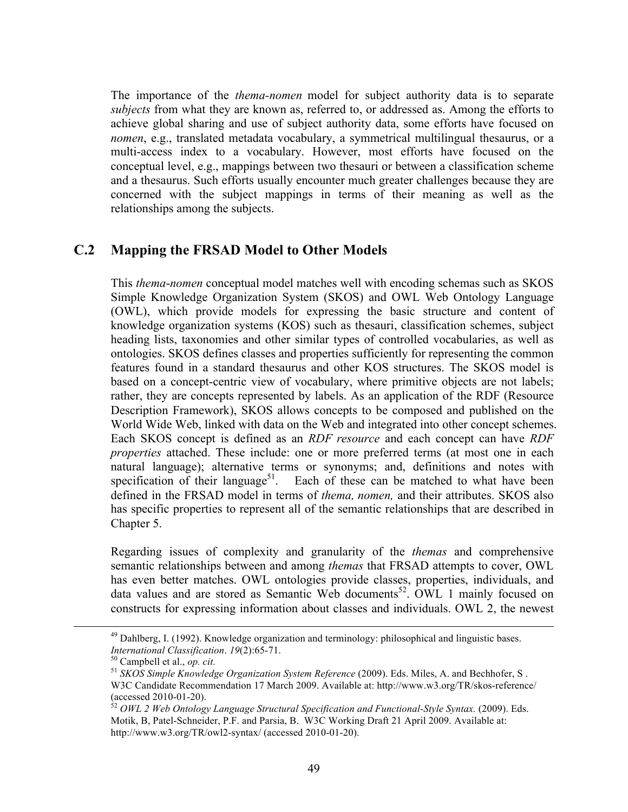The importance of the *thema-nomen* model for subject authority data is to separate *subjects* from what they are known as, referred to, or addressed as. Among the efforts to achieve global sharing and use of subject authority data, some efforts have focused on *nomen*, e.g., translated metadata vocabulary, a symmetrical multilingual thesaurus, or a multi-access index to a vocabulary. However, most efforts have focused on the conceptual level, e.g., mappings between two thesauri or between a classification scheme and a thesaurus. Such efforts usually encounter much greater challenges because they are concerned with the subject mappings in terms of their meaning as well as the relationships among the subjects.

## **C.2 Mapping the FRSAD Model to Other Models**

This *thema*-*nomen* conceptual model matches well with encoding schemas such as SKOS Simple Knowledge Organization System (SKOS) and OWL Web Ontology Language (OWL), which provide models for expressing the basic structure and content of knowledge organization systems (KOS) such as thesauri, classification schemes, subject heading lists, taxonomies and other similar types of controlled vocabularies, as well as ontologies. SKOS defines classes and properties sufficiently for representing the common features found in a standard thesaurus and other KOS structures. The SKOS model is based on a concept-centric view of vocabulary, where primitive objects are not labels; rather, they are concepts represented by labels. As an application of the RDF (Resource Description Framework), SKOS allows concepts to be composed and published on the World Wide Web, linked with data on the Web and integrated into other concept schemes. Each SKOS concept is defined as an *RDF resource* and each concept can have *RDF properties* attached. These include: one or more preferred terms (at most one in each natural language); alternative terms or synonyms; and, definitions and notes with specification of their language<sup>51</sup>. Each of these can be matched to what have been defined in the FRSAD model in terms of *thema, nomen,* and their attributes. SKOS also has specific properties to represent all of the semantic relationships that are described in Chapter 5.

Regarding issues of complexity and granularity of the *themas* and comprehensive semantic relationships between and among *themas* that FRSAD attempts to cover, OWL has even better matches. OWL ontologies provide classes, properties, individuals, and data values and are stored as Semantic Web documents<sup>52</sup>. OWL 1 mainly focused on constructs for expressing information about classes and individuals. OWL 2, the newest

<sup>&</sup>lt;sup>49</sup> Dahlberg, I. (1992). Knowledge organization and terminology: philosophical and linguistic bases. *International Classification. 19*(2):65-71.<br><sup>50</sup> Campbell et al., *op. cit.*<br><sup>51</sup> *SKOS Simple Knowledge Organization System Reference* (2009). Eds. Miles, A. and Bechhofer, S .

W3C Candidate Recommendation 17 March 2009. Available at: http://www.w3.org/TR/skos-reference/ (accessed 2010-01-20). <sup>52</sup> *OWL 2 Web Ontology Language Structural Specification and Functional-Style Syntax.* (2009). Eds.

Motik, B, Patel-Schneider, P.F. and Parsia, B. W3C Working Draft 21 April 2009. Available at: http://www.w3.org/TR/owl2-syntax/ (accessed 2010-01-20).